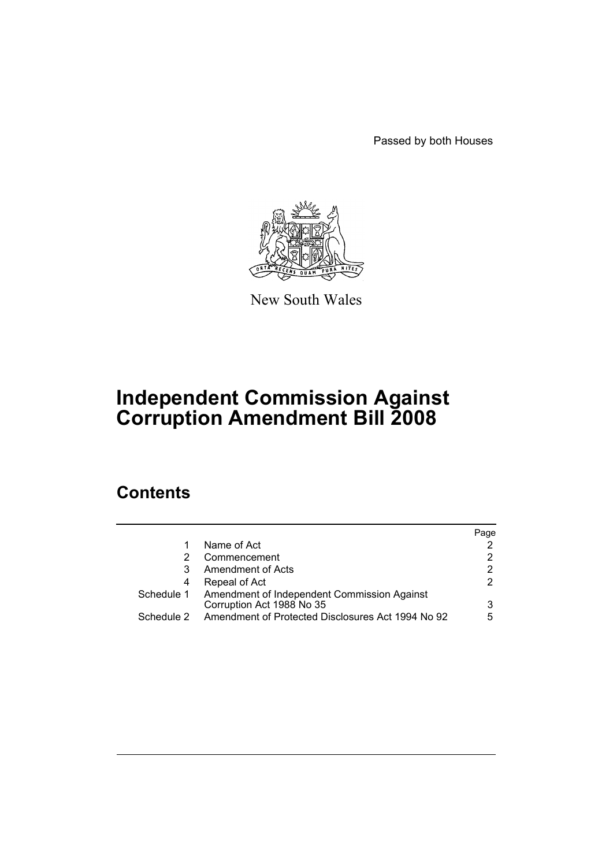Passed by both Houses



New South Wales

# **Independent Commission Against Corruption Amendment Bill 2008**

# **Contents**

|            |                                                                                     | Page |
|------------|-------------------------------------------------------------------------------------|------|
|            | Name of Act                                                                         | 2    |
| 2          | Commencement                                                                        | 2    |
| 3          | Amendment of Acts                                                                   | 2    |
| 4          | Repeal of Act                                                                       | 2    |
|            | Schedule 1 Amendment of Independent Commission Against<br>Corruption Act 1988 No 35 | 3    |
| Schedule 2 | Amendment of Protected Disclosures Act 1994 No 92                                   | 5    |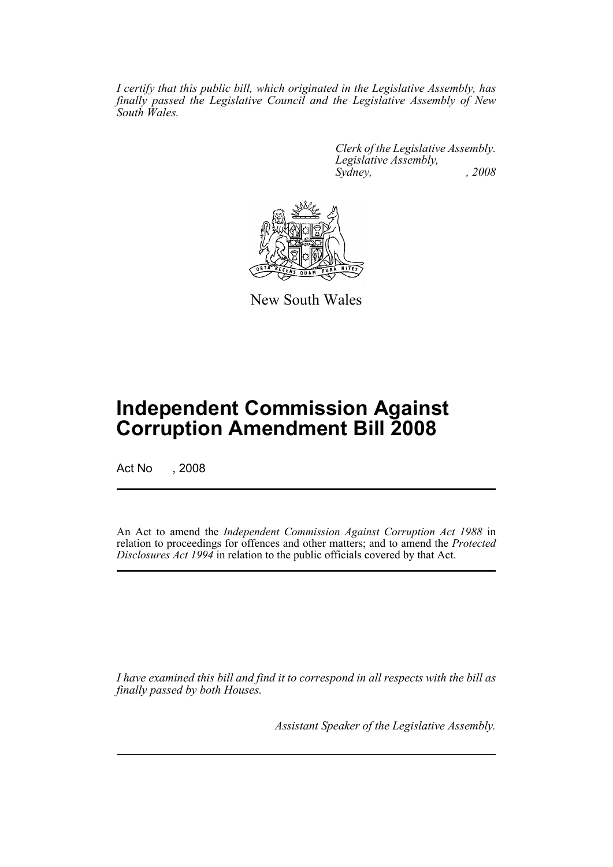*I certify that this public bill, which originated in the Legislative Assembly, has finally passed the Legislative Council and the Legislative Assembly of New South Wales.*

> *Clerk of the Legislative Assembly. Legislative Assembly, Sydney, , 2008*



New South Wales

# **Independent Commission Against Corruption Amendment Bill 2008**

Act No , 2008

An Act to amend the *Independent Commission Against Corruption Act 1988* in relation to proceedings for offences and other matters; and to amend the *Protected Disclosures Act 1994* in relation to the public officials covered by that Act.

*I have examined this bill and find it to correspond in all respects with the bill as finally passed by both Houses.*

*Assistant Speaker of the Legislative Assembly.*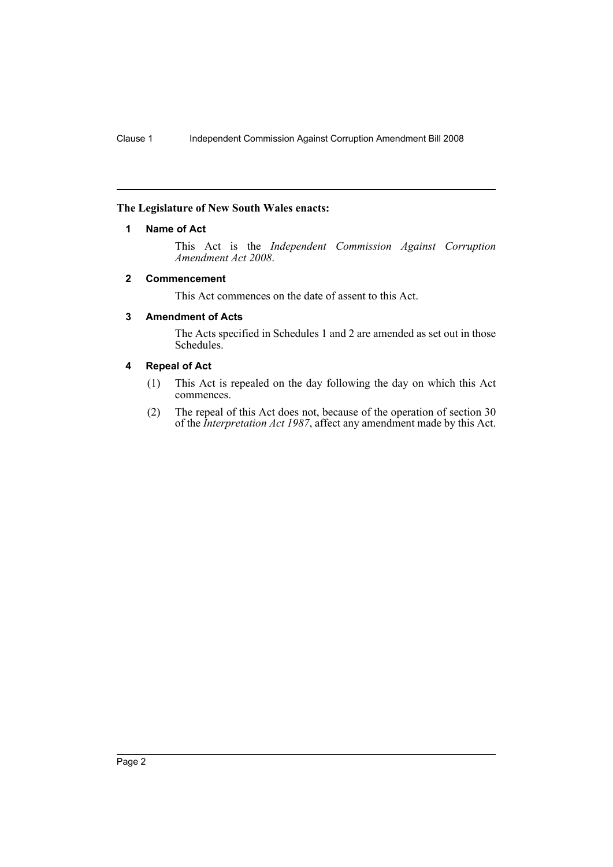#### <span id="page-2-0"></span>**The Legislature of New South Wales enacts:**

#### **1 Name of Act**

This Act is the *Independent Commission Against Corruption Amendment Act 2008*.

#### <span id="page-2-1"></span>**2 Commencement**

This Act commences on the date of assent to this Act.

### <span id="page-2-2"></span>**3 Amendment of Acts**

The Acts specified in Schedules 1 and 2 are amended as set out in those Schedules.

## <span id="page-2-3"></span>**4 Repeal of Act**

- (1) This Act is repealed on the day following the day on which this Act commences.
- (2) The repeal of this Act does not, because of the operation of section 30 of the *Interpretation Act 1987*, affect any amendment made by this Act.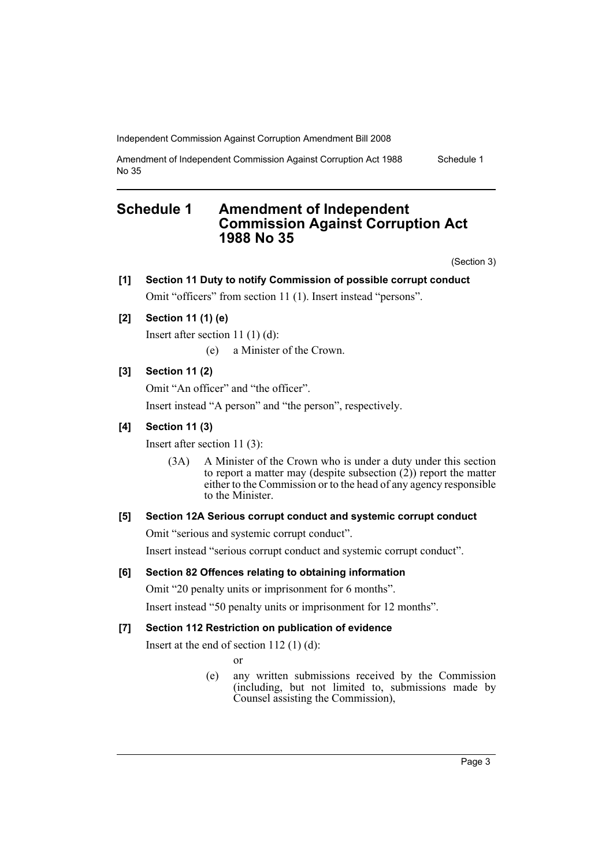Independent Commission Against Corruption Amendment Bill 2008

Amendment of Independent Commission Against Corruption Act 1988 No 35 Schedule 1

## <span id="page-3-0"></span>**Schedule 1 Amendment of Independent Commission Against Corruption Act 1988 No 35**

(Section 3)

## **[1] Section 11 Duty to notify Commission of possible corrupt conduct** Omit "officers" from section 11 (1). Insert instead "persons".

**[2] Section 11 (1) (e)**

Insert after section 11 (1) (d):

(e) a Minister of the Crown.

## **[3] Section 11 (2)**

Omit "An officer" and "the officer".

Insert instead "A person" and "the person", respectively.

## **[4] Section 11 (3)**

Insert after section 11 (3):

(3A) A Minister of the Crown who is under a duty under this section to report a matter may (despite subsection  $(2)$ ) report the matter either to the Commission or to the head of any agency responsible to the Minister.

### **[5] Section 12A Serious corrupt conduct and systemic corrupt conduct**

Omit "serious and systemic corrupt conduct".

Insert instead "serious corrupt conduct and systemic corrupt conduct".

## **[6] Section 82 Offences relating to obtaining information**

Omit "20 penalty units or imprisonment for 6 months".

Insert instead "50 penalty units or imprisonment for 12 months".

## **[7] Section 112 Restriction on publication of evidence**

Insert at the end of section  $112$  (1) (d):

or

(e) any written submissions received by the Commission (including, but not limited to, submissions made by Counsel assisting the Commission),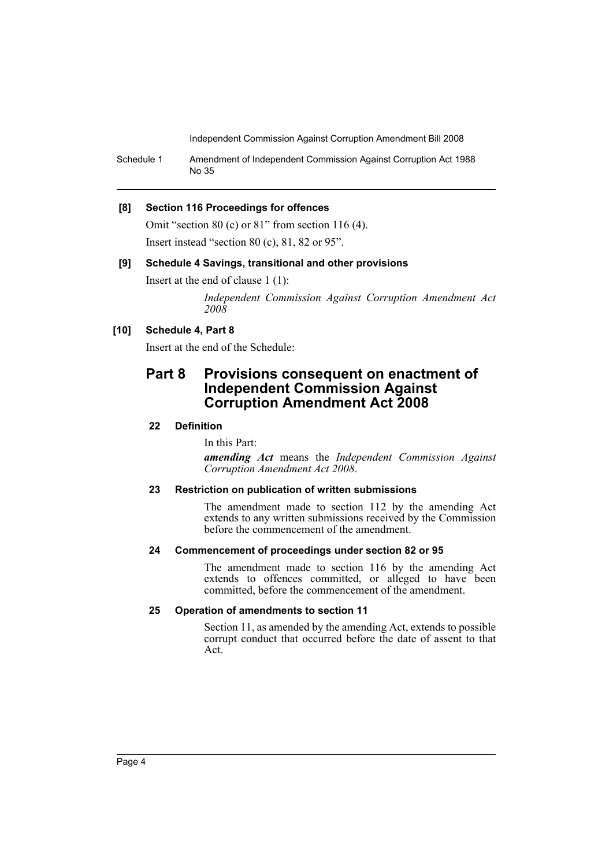Independent Commission Against Corruption Amendment Bill 2008

Schedule 1 Amendment of Independent Commission Against Corruption Act 1988 No 35

#### **[8] Section 116 Proceedings for offences**

Omit "section 80 (c) or 81" from section 116 (4). Insert instead "section 80 (c), 81, 82 or 95".

#### **[9] Schedule 4 Savings, transitional and other provisions**

Insert at the end of clause 1 (1):

*Independent Commission Against Corruption Amendment Act 2008*

## **[10] Schedule 4, Part 8**

Insert at the end of the Schedule:

## **Part 8 Provisions consequent on enactment of Independent Commission Against Corruption Amendment Act 2008**

### **22 Definition**

In this Part:

*amending Act* means the *Independent Commission Against Corruption Amendment Act 2008*.

## **23 Restriction on publication of written submissions**

The amendment made to section 112 by the amending Act extends to any written submissions received by the Commission before the commencement of the amendment.

#### **24 Commencement of proceedings under section 82 or 95**

The amendment made to section 116 by the amending Act extends to offences committed, or alleged to have been committed, before the commencement of the amendment.

#### **25 Operation of amendments to section 11**

Section 11, as amended by the amending Act, extends to possible corrupt conduct that occurred before the date of assent to that Act.